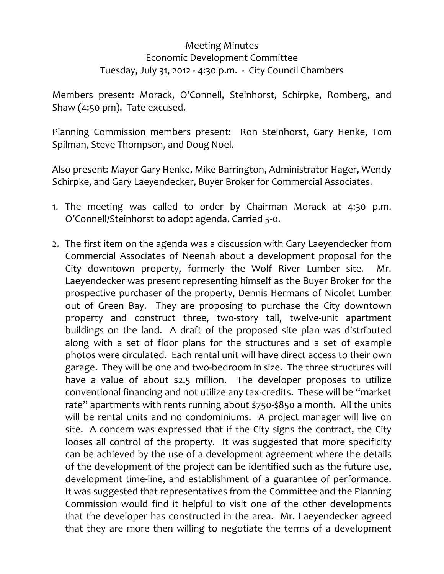## Meeting Minutes Economic Development Committee Tuesday, July 31, 2012 ‐ 4:30 p.m. ‐ City Council Chambers

Members present: Morack, O'Connell, Steinhorst, Schirpke, Romberg, and Shaw (4:50 pm). Tate excused.

Planning Commission members present: Ron Steinhorst, Gary Henke, Tom Spilman, Steve Thompson, and Doug Noel.

Also present: Mayor Gary Henke, Mike Barrington, Administrator Hager, Wendy Schirpke, and Gary Laeyendecker, Buyer Broker for Commercial Associates.

- 1. The meeting was called to order by Chairman Morack at 4:30 p.m. O'Connell/Steinhorst to adopt agenda. Carried 5‐0.
- 2. The first item on the agenda was a discussion with Gary Laeyendecker from Commercial Associates of Neenah about a development proposal for the City downtown property, formerly the Wolf River Lumber site. Mr. Laeyendecker was present representing himself as the Buyer Broker for the prospective purchaser of the property, Dennis Hermans of Nicolet Lumber out of Green Bay. They are proposing to purchase the City downtown property and construct three, two-story tall, twelve-unit apartment buildings on the land. A draft of the proposed site plan was distributed along with a set of floor plans for the structures and a set of example photos were circulated. Each rental unit will have direct access to their own garage. They will be one and two‐bedroom in size. The three structures will have a value of about \$2.5 million. The developer proposes to utilize conventional financing and not utilize any tax‐credits. These will be "market rate" apartments with rents running about \$750‐\$850 a month. All the units will be rental units and no condominiums. A project manager will live on site. A concern was expressed that if the City signs the contract, the City looses all control of the property. It was suggested that more specificity can be achieved by the use of a development agreement where the details of the development of the project can be identified such as the future use, development time‐line, and establishment of a guarantee of performance. It was suggested that representatives from the Committee and the Planning Commission would find it helpful to visit one of the other developments that the developer has constructed in the area. Mr. Laeyendecker agreed that they are more then willing to negotiate the terms of a development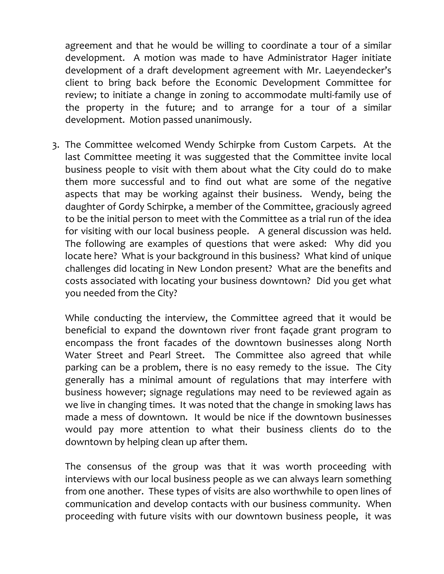agreement and that he would be willing to coordinate a tour of a similar development. A motion was made to have Administrator Hager initiate development of a draft development agreement with Mr. Laeyendecker's client to bring back before the Economic Development Committee for review; to initiate a change in zoning to accommodate multi-family use of the property in the future; and to arrange for a tour of a similar development. Motion passed unanimously.

3. The Committee welcomed Wendy Schirpke from Custom Carpets. At the last Committee meeting it was suggested that the Committee invite local business people to visit with them about what the City could do to make them more successful and to find out what are some of the negative aspects that may be working against their business. Wendy, being the daughter of Gordy Schirpke, a member of the Committee, graciously agreed to be the initial person to meet with the Committee as a trial run of the idea for visiting with our local business people. A general discussion was held. The following are examples of questions that were asked: Why did you locate here? What is your background in this business? What kind of unique challenges did locating in New London present? What are the benefits and costs associated with locating your business downtown? Did you get what you needed from the City?

While conducting the interview, the Committee agreed that it would be beneficial to expand the downtown river front façade grant program to encompass the front facades of the downtown businesses along North Water Street and Pearl Street. The Committee also agreed that while parking can be a problem, there is no easy remedy to the issue. The City generally has a minimal amount of regulations that may interfere with business however; signage regulations may need to be reviewed again as we live in changing times. It was noted that the change in smoking laws has made a mess of downtown. It would be nice if the downtown businesses would pay more attention to what their business clients do to the downtown by helping clean up after them.

The consensus of the group was that it was worth proceeding with interviews with our local business people as we can always learn something from one another. These types of visits are also worthwhile to open lines of communication and develop contacts with our business community. When proceeding with future visits with our downtown business people, it was